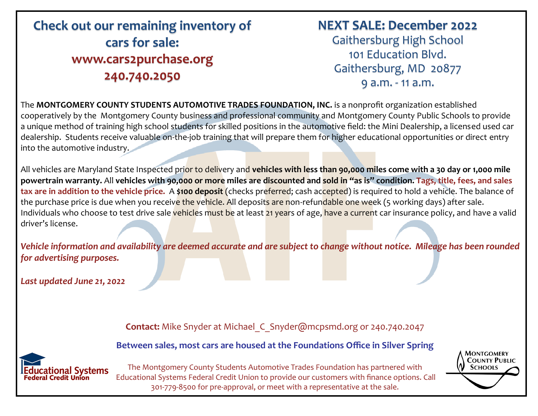## **Check out our remaining inventory of cars for sale: www.cars2purchase.org 240.740.2050**

## **NEXT SALE: December 2022**

Gaithersburg High School 101 Education Blvd. Gaithersburg, MD 20877 9 a.m. - 11 a.m.

The **MONTGOMERY COUNTY STUDENTS AUTOMOTIVE TRADES FOUNDATION, INC.** is a nonprofit organization established cooperatively by the Montgomery County business and professional community and Montgomery County Public Schools to provide a unique method of training high school students for skilled positions in the automotive field: the Mini Dealership, a licensed used car dealership. Students receive valuable on-the-job training that will prepare them for higher educational opportunities or direct entry into the automotive industry.

All vehicles are Maryland State Inspected prior to delivery and **vehicles with less than 90,000 miles come with a 30 day or 1,000 mile powertrain warranty.** All **vehicles with 90,000 or more miles are discounted and sold in "as is" condition. Tags, title, fees, and sales tax are in addition to the vehicle price.** A **\$100 deposit** (checks preferred; cash accepted) is required to hold a vehicle. The balance of the purchase price is due when you receive the vehicle. All deposits are non-refundable one week (5 working days) after sale. Individuals who choose to test drive sale vehicles must be at least 21 years of age, have a current car insurance policy, and have a valid driver's license.

*Vehicle information and availability are deemed accurate and are subject to change without notice. Mileage has been rounded for advertising purposes.* 

*Last updated June 21, 2022*

**Contact:** Mike Snyder at Michael\_C\_Snyder@mcpsmd.org or 240.740.2047

**Between sales, most cars are housed at the Foundations Office in Silver Spring** 



The Montgomery County Students Automotive Trades Foundation has partnered with Educational Systems Federal Credit Union to provide our customers with finance options. Call 301-779-8500 for pre-approval, or meet with a representative at the sale.